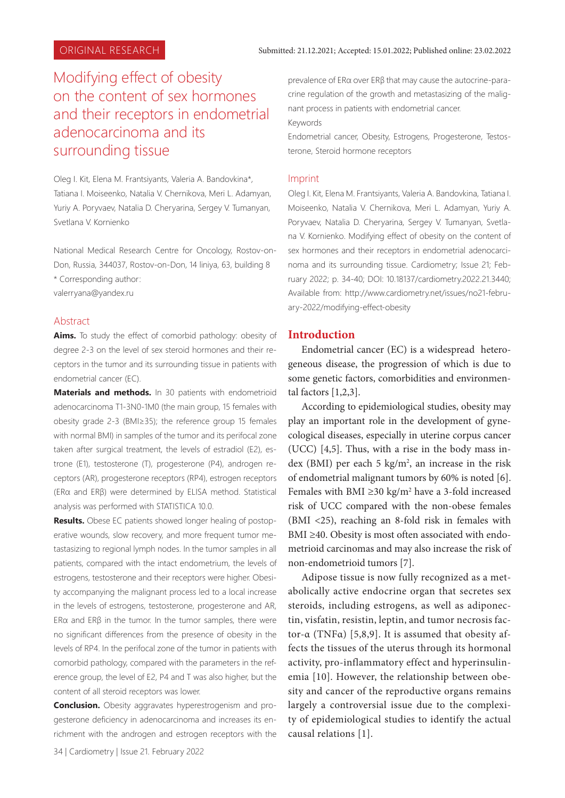# Modifying effect of obesity on the content of sex hormones and their receptors in endometrial adenocarcinoma and its surrounding tissue

Oleg I. Kit, Elena M. Frantsiyants, Valeria A. Bandovkina\*, Tatiana I. Moiseenko, Natalia V. Chernikova, Meri L. Adamyan, Yuriy A. Poryvaev, Natalia D. Cheryarina, Sergey V. Tumanyan, Svetlana V. Kornienko

National Medical Research Centre for Oncology, Rostov-on-Don, Russia, 344037, Rostov-on-Don, 14 liniya, 63, building 8 \* Corresponding author: valerryana@yandex.ru

#### Abstract

**Aims.** To study the effect of comorbid pathology: obesity of degree 2-3 on the level of sex steroid hormones and their receptors in the tumor and its surrounding tissue in patients with endometrial cancer (EC).

**Materials and methods.** In 30 patients with endometrioid adenocarcinoma T1-3N0-1M0 (the main group, 15 females with obesity grade 2-3 (BMI≥35); the reference group 15 females with normal BMI) in samples of the tumor and its perifocal zone taken after surgical treatment, the levels of estradiol (E2), estrone (E1), testosterone (T), progesterone (P4), androgen receptors (AR), progesterone receptors (RP4), estrogen receptors (ERα and ERβ) were determined by ELISA method. Statistical analysis was performed with STATISTICA 10.0.

**Results.** Obese EC patients showed longer healing of postoperative wounds, slow recovery, and more frequent tumor metastasizing to regional lymph nodes. In the tumor samples in all patients, compared with the intact endometrium, the levels of estrogens, testosterone and their receptors were higher. Obesity accompanying the malignant process led to a local increase in the levels of estrogens, testosterone, progesterone and AR, ERα and ERβ in the tumor. In the tumor samples, there were no significant differences from the presence of obesity in the levels of RP4. In the perifocal zone of the tumor in patients with comorbid pathology, compared with the parameters in the reference group, the level of E2, P4 and T was also higher, but the content of all steroid receptors was lower.

**Conclusion.** Obesity aggravates hyperestrogenism and progesterone deficiency in adenocarcinoma and increases its enrichment with the androgen and estrogen receptors with the

34 | Cardiometry | Issue 21. February 2022

prevalence of ERα over ERβ that may cause the autocrine-paracrine regulation of the growth and metastasizing of the malignant process in patients with endometrial cancer.

Keywords

Endometrial cancer, Obesity, Estrogens, Progesterone, Testosterone, Steroid hormone receptors

#### Imprint

Oleg I. Kit, Elena M. Frantsiyants, Valeria A. Bandovkina, Tatiana I. Moiseenko, Natalia V. Chernikova, Meri L. Adamyan, Yuriy A. Poryvaev, Natalia D. Cheryarina, Sergey V. Tumanyan, Svetlana V. Kornienko. Modifying effect of obesity on the content of sex hormones and their receptors in endometrial adenocarcinoma and its surrounding tissue. Cardiometry; Issue 21; February 2022; p. 34-40; DOI: 10.18137/cardiometry.2022.21.3440; Available from: http://www.cardiometry.net/issues/no21-february-2022/modifying-effect-obesity

#### **Introduction**

Endometrial cancer (EC) is a widespread heterogeneous disease, the progression of which is due to some genetic factors, comorbidities and environmental factors [1,2,3].

According to epidemiological studies, obesity may play an important role in the development of gynecological diseases, especially in uterine corpus cancer (UCC) [4,5]. Thus, with a rise in the body mass index (BMI) per each  $5 \text{ kg/m}^2$ , an increase in the risk of endometrial malignant tumors by 60% is noted [6]. Females with BMI  $\geq$ 30 kg/m<sup>2</sup> have a 3-fold increased risk of UCC compared with the non-obese females (BMI <25), reaching an 8-fold risk in females with BMI ≥40. Obesity is most often associated with endometrioid carcinomas and may also increase the risk of non-endometrioid tumors [7].

Adipose tissue is now fully recognized as a metabolically active endocrine organ that secretes sex steroids, including estrogens, as well as adiponectin, visfatin, resistin, leptin, and tumor necrosis factor-α (TNFα) [5,8,9]. It is assumed that obesity affects the tissues of the uterus through its hormonal activity, pro-inflammatory effect and hyperinsulinemia [10]. However, the relationship between obesity and cancer of the reproductive organs remains largely a controversial issue due to the complexity of epidemiological studies to identify the actual causal relations [1].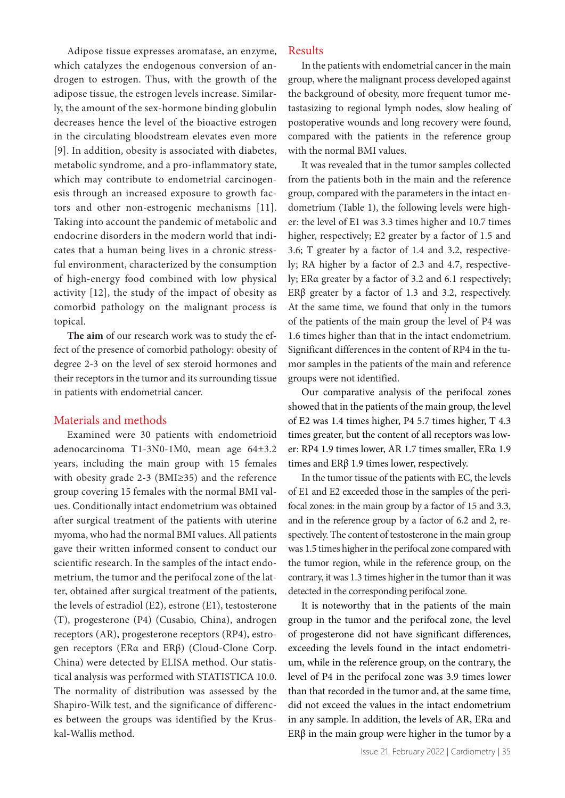Adipose tissue expresses aromatase, an enzyme, which catalyzes the endogenous conversion of androgen to estrogen. Thus, with the growth of the adipose tissue, the estrogen levels increase. Similarly, the amount of the sex-hormone binding globulin decreases hence the level of the bioactive estrogen in the circulating bloodstream elevates even more [9]. In addition, obesity is associated with diabetes, metabolic syndrome, and a pro-inflammatory state, which may contribute to endometrial carcinogenesis through an increased exposure to growth factors and other non-estrogenic mechanisms [11]. Taking into account the pandemic of metabolic and endocrine disorders in the modern world that indicates that a human being lives in a chronic stressful environment, characterized by the consumption of high-energy food combined with low physical activity [12], the study of the impact of obesity as comorbid pathology on the malignant process is topical.

**The aim** of our research work was to study the effect of the presence of comorbid pathology: obesity of degree 2-3 on the level of sex steroid hormones and their receptors in the tumor and its surrounding tissue in patients with endometrial cancer.

#### Materials and methods

Examined were 30 patients with endometrioid adenocarcinoma T1-3N0-1M0, mean age 64±3.2 years, including the main group with 15 females with obesity grade 2-3 (BMI≥35) and the reference group covering 15 females with the normal BMI values. Conditionally intact endometrium was obtained after surgical treatment of the patients with uterine myoma, who had the normal BMI values. All patients gave their written informed consent to conduct our scientific research. In the samples of the intact endometrium, the tumor and the perifocal zone of the latter, obtained after surgical treatment of the patients, the levels of estradiol (E2), estrone (E1), testosterone (T), progesterone (P4) (Cusabio, China), androgen receptors (AR), progesterone receptors (RP4), estrogen receptors (ERα and ERβ) (Cloud-Clone Corp. China) were detected by ELISA method. Our statistical analysis was performed with STATISTICA 10.0. The normality of distribution was assessed by the Shapiro-Wilk test, and the significance of differences between the groups was identified by the Kruskal-Wallis method.

### Results

In the patients with endometrial cancer in the main group, where the malignant process developed against the background of obesity, more frequent tumor metastasizing to regional lymph nodes, slow healing of postoperative wounds and long recovery were found, compared with the patients in the reference group with the normal BMI values.

It was revealed that in the tumor samples collected from the patients both in the main and the reference group, compared with the parameters in the intact endometrium (Table 1), the following levels were higher: the level of E1 was 3.3 times higher and 10.7 times higher, respectively; E2 greater by a factor of 1.5 and 3.6; T greater by a factor of 1.4 and 3.2, respectively; RA higher by a factor of 2.3 and 4.7, respectively; ERα greater by a factor of 3.2 and 6.1 respectively; ER $\beta$  greater by a factor of 1.3 and 3.2, respectively. At the same time, we found that only in the tumors of the patients of the main group the level of P4 was 1.6 times higher than that in the intact endometrium. Significant differences in the content of RP4 in the tumor samples in the patients of the main and reference groups were not identified.

Our comparative analysis of the perifocal zones showed that in the patients of the main group, the level of E2 was 1.4 times higher, P4 5.7 times higher, T 4.3 times greater, but the content of all receptors was lower: RP4 1.9 times lower, AR 1.7 times smaller, ERα 1.9 times and ERβ 1.9 times lower, respectively.

In the tumor tissue of the patients with EC, the levels of E1 and E2 exceeded those in the samples of the perifocal zones: in the main group by a factor of 15 and 3.3, and in the reference group by a factor of 6.2 and 2, respectively. The content of testosterone in the main group was 1.5 times higher in the perifocal zone compared with the tumor region, while in the reference group, on the contrary, it was 1.3 times higher in the tumor than it was detected in the corresponding perifocal zone.

It is noteworthy that in the patients of the main group in the tumor and the perifocal zone, the level of progesterone did not have significant differences, exceeding the levels found in the intact endometrium, while in the reference group, on the contrary, the level of P4 in the perifocal zone was 3.9 times lower than that recorded in the tumor and, at the same time, did not exceed the values in the intact endometrium in any sample. In addition, the levels of AR, ERα and ER $\beta$  in the main group were higher in the tumor by a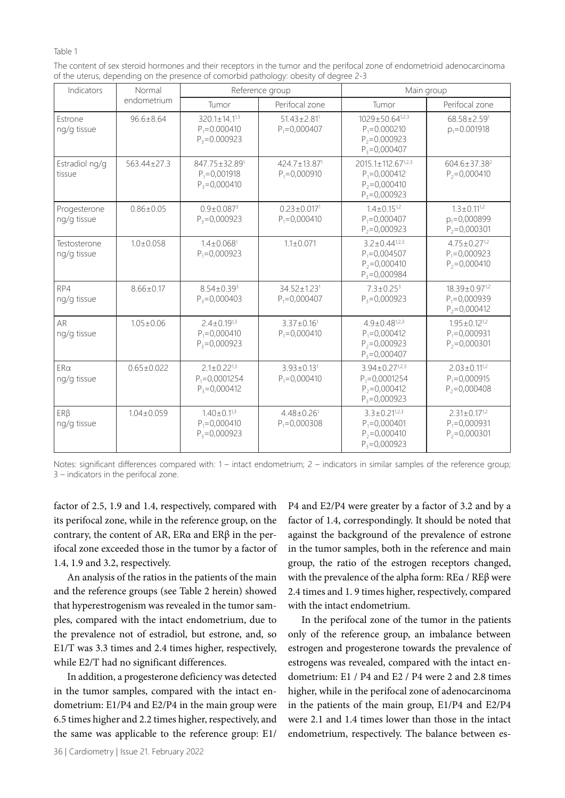#### Table 1

| The content of sex steroid hormones and their receptors in the tumor and the perifocal zone of endometrioid adenocarcinoma |
|----------------------------------------------------------------------------------------------------------------------------|
| of the uterus, depending on the presence of comorbid pathology: obesity of degree 2-3                                      |

| Indicators                  | Normal<br>endometrium | Reference group                                              |                                                  | Main group                                                                           |                                                               |
|-----------------------------|-----------------------|--------------------------------------------------------------|--------------------------------------------------|--------------------------------------------------------------------------------------|---------------------------------------------------------------|
|                             |                       | Tumor                                                        | Perifocal zone                                   | Tumor                                                                                | Perifocal zone                                                |
| Estrone<br>ng/g tissue      | $96.6 + 8.64$         | $320.1 + 14.1^{1,3}$<br>$P_1 = 0.000410$<br>$P_3 = 0.000923$ | $51.43 + 2.81$ <sup>1</sup><br>$P_1 = 0,000407$  | $1029 + 50.64^{1,2,3}$<br>$P_1 = 0.000210$<br>$P_2 = 0.000923$<br>$P_3 = 0,000407$   | 68.58+2.591<br>$p_1 = 0.001918$                               |
| Estradiol ng/g<br>tissue    | 563.44±27.3           | 847.75±32.891<br>$P_1 = 0,001918$<br>$P_3 = 0,000410$        | 424.7±13.87 <sup>1</sup><br>$P_1 = 0,000910$     | 2015.1±112.671,2,3<br>$P_1 = 0,000412$<br>$P_2 = 0,000410$<br>$P_3 = 0,000923$       | $604.6 \pm 37.38^2$<br>$P_2 = 0,000410$                       |
| Progesterone<br>ng/g tissue | $0.86 + 0.05$         | $0.9 + 0.0873$<br>$P_3 = 0,000923$                           | $0.23 + 0.0171$<br>$P_1 = 0,000410$              | $1.4 + 0.15^{1.2}$<br>$P_1 = 0,000407$<br>$P_2 = 0,000923$                           | $1.3 + 0.11^{1.2}$<br>$p_1 = 0,000899$<br>$P_2 = 0,000301$    |
| Testosterone<br>ng/g tissue | $1.0 + 0.058$         | $1.4 + 0.0681$<br>$P_1 = 0,000923$                           | $1.1 + 0.071$                                    | $3.2 + 0.44^{1,2,3}$<br>$P_1 = 0.004507$<br>$P_2 = 0,000410$<br>$P_3 = 0,000984$     | $4.75 + 0.27^{1,2}$<br>$P_1 = 0,000923$<br>$P_2 = 0,000410$   |
| RP4<br>ng/g tissue          | $8.66 + 0.17$         | $8.54 + 0.393$<br>$P_3 = 0,000403$                           | $34.52 + 1.23$ <sup>1</sup><br>$P_1 = 0.000407$  | $7.3 + 0.25^3$<br>$P_3 = 0,000923$                                                   | $18.39 + 0.97^{1,2}$<br>$P_1 = 0.000939$<br>$P_2 = 0,000412$  |
| AR<br>ng/g tissue           | $1.05 + 0.06$         | $2.4 + 0.19^{1,3}$<br>$P_1 = 0,000410$<br>$P_3 = 0,000923$   | $3.37 + 0.16$ <sup>1</sup><br>$P_1 = 0,000410$   | $4.9 + 0.48^{1,2,3}$<br>$P_1 = 0,000412$<br>$P_2 = 0,000923$<br>$P_3 = 0,000407$     | $1.95 + 0.12^{1.2}$<br>$P_1 = 0,000931$<br>$P_2 = 0,000301$   |
| $ER\alpha$<br>ng/g tissue   | $0.65 \pm 0.022$      | $2.1 \pm 0.22^{13}$<br>$P_1 = 0,0001254$<br>$P_3 = 0,000412$ | $3.93 \pm 0.13$ <sup>1</sup><br>$P_1 = 0,000410$ | $3.94 \pm 0.27^{1,2,3}$<br>$P_1 = 0,0001254$<br>$P_2 = 0,000412$<br>$P_3 = 0,000923$ | $2.03 \pm 0.11^{1.2}$<br>$P_1 = 0,000915$<br>$P_2 = 0,000408$ |
| ERB<br>ng/g tissue          | $1.04 + 0.059$        | $1.40 + 0.1^{1,3}$<br>$P_1 = 0,000410$<br>$P_2 = 0.000923$   | $4.48 + 0.26$ <sup>1</sup><br>$P_1 = 0,000308$   | $3.3 + 0.21^{1,2,3}$<br>$P_1 = 0,000401$<br>$P_2 = 0.000410$<br>$P_3 = 0,000923$     | $2.31 \pm 0.17^{1,2}$<br>$P_1 = 0,000931$<br>$P_2 = 0.000301$ |

Notes: significant differences compared with: 1 – intact endometrium; 2 – indicators in similar samples of the reference group; 3 – indicators in the perifocal zone.

factor of 2.5, 1.9 and 1.4, respectively, compared with its perifocal zone, while in the reference group, on the contrary, the content of AR, ERα and ERβ in the perifocal zone exceeded those in the tumor by a factor of 1.4, 1.9 and 3.2, respectively.

An analysis of the ratios in the patients of the main and the reference groups (see Table 2 herein) showed that hyperestrogenism was revealed in the tumor samples, compared with the intact endometrium, due to the prevalence not of estradiol, but estrone, and, so E1/T was 3.3 times and 2.4 times higher, respectively, while E2/T had no significant differences.

In addition, a progesterone deficiency was detected in the tumor samples, compared with the intact endometrium: E1/P4 and E2/P4 in the main group were 6.5 times higher and 2.2 times higher, respectively, and the same was applicable to the reference group: E1/

P4 and E2/P4 were greater by a factor of 3.2 and by a factor of 1.4, correspondingly. It should be noted that against the background of the prevalence of estrone in the tumor samples, both in the reference and main group, the ratio of the estrogen receptors changed, with the prevalence of the alpha form: REα / REβ were 2.4 times and 1. 9 times higher, respectively, compared with the intact endometrium.

In the perifocal zone of the tumor in the patients only of the reference group, an imbalance between estrogen and progesterone towards the prevalence of estrogens was revealed, compared with the intact endometrium: E1 / P4 and E2 / P4 were 2 and 2.8 times higher, while in the perifocal zone of adenocarcinoma in the patients of the main group, E1/P4 and E2/P4 were 2.1 and 1.4 times lower than those in the intact endometrium, respectively. The balance between es-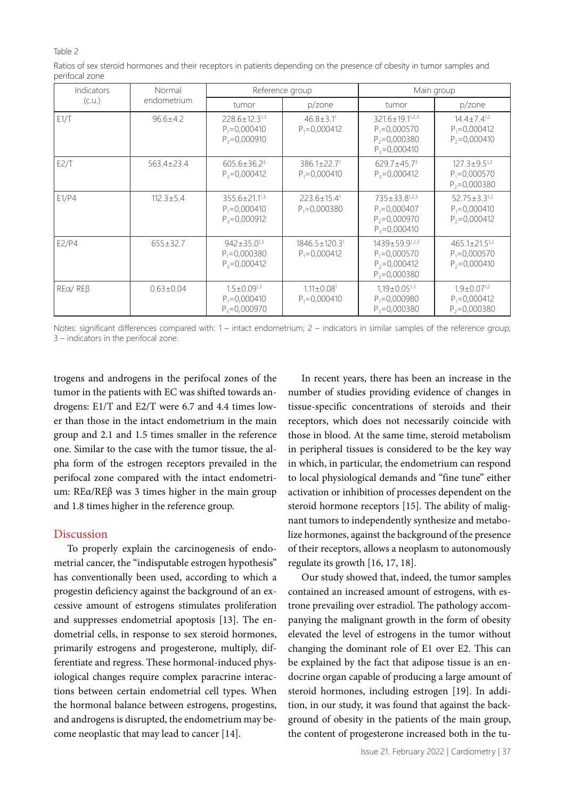#### Table 2

| Indicators             | Normal           | Reference group                                             |                                                   | Main group                                                                         |                                                              |
|------------------------|------------------|-------------------------------------------------------------|---------------------------------------------------|------------------------------------------------------------------------------------|--------------------------------------------------------------|
| (C.U.)                 | endometrium      | tumor                                                       | p/zone                                            | tumor                                                                              | p/zone                                                       |
| E1/T                   | $96.6 + 4.2$     | $228.6 + 12.3^{13}$<br>$P_1 = 0,000410$<br>$P_3 = 0,000910$ | $46.8 + 3.11$<br>$P_1 = 0.000412$                 | $321.6 + 19.1^{1,2,3}$<br>$P_1 = 0,000570$<br>$P_2 = 0,000380$<br>$P_3 = 0,000410$ | $14.4 + 7.4^{1.2}$<br>$P_1 = 0,000412$<br>$P_2 = 0,000410$   |
| E2/T                   | $563.4 \pm 23.4$ | $605.6 \pm 36.2^3$<br>$P_3 = 0,000412$                      | $386.1 + 22.71$<br>$P_1 = 0,000410$               | $629.7 \pm 45.7^3$<br>$P_3 = 0,000412$                                             | $127.3 + 9.5^{1,2}$<br>$P_1 = 0,000570$<br>$P_2 = 0,000380$  |
| E1/P4                  | $112.3 \pm 5.4$  | $355.6 + 21.1^{13}$<br>$P_1 = 0,000410$<br>$P_3 = 0,000912$ | $223.6 \pm 15.4$ <sup>1</sup><br>$P_1 = 0,000380$ | $735 + 33.8^{1,2,3}$<br>$P_1 = 0,000407$<br>$P_2 = 0,000970$<br>$P_3 = 0,000410$   | $52.75 + 3.3^{1,2}$<br>$P_1 = 0,000410$<br>$P_2 = 0,000412$  |
| E2/P4                  | $655 \pm 32.7$   | $942 + 35.0^{13}$<br>$P_1 = 0,000380$<br>$P_3 = 0.000412$   | 1846.5±120.31<br>$P_1 = 0,000412$                 | $1439 + 59.9^{1,2,3}$<br>$P_1 = 0,000570$<br>$P_2 = 0,000412$<br>$P_3 = 0,000380$  | $465.1 + 21.5^{1,2}$<br>$P_1 = 0,000570$<br>$P_2 = 0.000410$ |
| $RE\alpha$ / $RE\beta$ | $0.63 \pm 0.04$  | $1.5 + 0.09^{1.3}$<br>$P_1 = 0.000410$<br>$P_3 = 0,000970$  | $1.11 \pm 0.08$ <sup>1</sup><br>$P_1 = 0,000410$  | $1.19 \pm 0.05^{1,3}$<br>$P_1 = 0,000980$<br>$P_3 = 0,000380$                      | $1.9 + 0.07^{1.2}$<br>$P_1 = 0,000412$<br>$P_2 = 0,000380$   |

Ratios of sex steroid hormones and their receptors in patients depending on the presence of obesity in tumor samples and perifocal zone

Notes: significant differences compared with: 1 – intact endometrium; 2 – indicators in similar samples of the reference group; 3 – indicators in the perifocal zone.

trogens and androgens in the perifocal zones of the tumor in the patients with EC was shifted towards androgens: E1/T and E2/T were 6.7 and 4.4 times lower than those in the intact endometrium in the main group and 2.1 and 1.5 times smaller in the reference one. Similar to the case with the tumor tissue, the alpha form of the estrogen receptors prevailed in the perifocal zone compared with the intact endometrium: REα/REβ was 3 times higher in the main group and 1.8 times higher in the reference group.

# Discussion

To properly explain the carcinogenesis of endometrial cancer, the "indisputable estrogen hypothesis" has conventionally been used, according to which a progestin deficiency against the background of an excessive amount of estrogens stimulates proliferation and suppresses endometrial apoptosis [13]. The endometrial cells, in response to sex steroid hormones, primarily estrogens and progesterone, multiply, differentiate and regress. These hormonal-induced physiological changes require complex paracrine interactions between certain endometrial cell types. When the hormonal balance between estrogens, progestins, and androgens is disrupted, the endometrium may become neoplastic that may lead to cancer [14].

In recent years, there has been an increase in the number of studies providing evidence of changes in tissue-specific concentrations of steroids and their receptors, which does not necessarily coincide with those in blood. At the same time, steroid metabolism in peripheral tissues is considered to be the key way in which, in particular, the endometrium can respond to local physiological demands and "fine tune" either activation or inhibition of processes dependent on the steroid hormone receptors [15]. The ability of malignant tumors to independently synthesize and metabolize hormones, against the background of the presence of their receptors, allows a neoplasm to autonomously regulate its growth [16, 17, 18].

Our study showed that, indeed, the tumor samples contained an increased amount of estrogens, with estrone prevailing over estradiol. The pathology accompanying the malignant growth in the form of obesity elevated the level of estrogens in the tumor without changing the dominant role of E1 over E2. This can be explained by the fact that adipose tissue is an endocrine organ capable of producing a large amount of steroid hormones, including estrogen [19]. In addition, in our study, it was found that against the background of obesity in the patients of the main group, the content of progesterone increased both in the tu-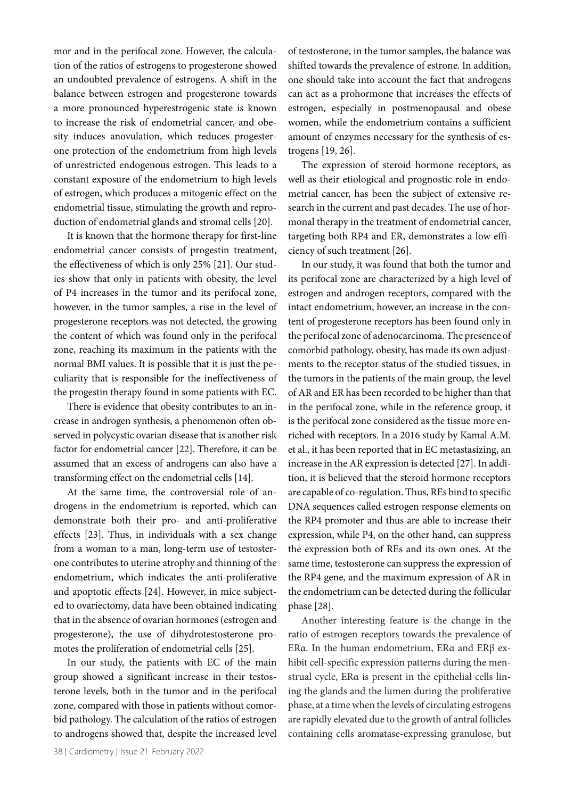mor and in the perifocal zone. However, the calculation of the ratios of estrogens to progesterone showed an undoubted prevalence of estrogens. A shift in the balance between estrogen and progesterone towards a more pronounced hyperestrogenic state is known to increase the risk of endometrial cancer, and obesity induces anovulation, which reduces progesterone protection of the endometrium from high levels of unrestricted endogenous estrogen. This leads to a constant exposure of the endometrium to high levels of estrogen, which produces a mitogenic effect on the endometrial tissue, stimulating the growth and reproduction of endometrial glands and stromal cells [20].

It is known that the hormone therapy for first-line endometrial cancer consists of progestin treatment, the effectiveness of which is only 25% [21]. Our studies show that only in patients with obesity, the level of P4 increases in the tumor and its perifocal zone, however, in the tumor samples, a rise in the level of progesterone receptors was not detected, the growing the content of which was found only in the perifocal zone, reaching its maximum in the patients with the normal BMI values. It is possible that it is just the peculiarity that is responsible for the ineffectiveness of the progestin therapy found in some patients with EC.

There is evidence that obesity contributes to an increase in androgen synthesis, a phenomenon often observed in polycystic ovarian disease that is another risk factor for endometrial cancer [22]. Therefore, it can be assumed that an excess of androgens can also have a transforming effect on the endometrial cells [14].

At the same time, the controversial role of androgens in the endometrium is reported, which can demonstrate both their pro- and anti-proliferative effects [23]. Thus, in individuals with a sex change from a woman to a man, long-term use of testosterone contributes to uterine atrophy and thinning of the endometrium, which indicates the anti-proliferative and apoptotic effects [24]. However, in mice subjected to ovariectomy, data have been obtained indicating that in the absence of ovarian hormones (estrogen and progesterone), the use of dihydrotestosterone promotes the proliferation of endometrial cells [25].

In our study, the patients with EC of the main group showed a significant increase in their testosterone levels, both in the tumor and in the perifocal zone, compared with those in patients without comorbid pathology. The calculation of the ratios of estrogen to androgens showed that, despite the increased level

38 | Cardiometry | Issue 21. February 2022

of testosterone, in the tumor samples, the balance was shifted towards the prevalence of estrone. In addition, one should take into account the fact that androgens can act as a prohormone that increases the effects of estrogen, especially in postmenopausal and obese women, while the endometrium contains a sufficient amount of enzymes necessary for the synthesis of estrogens [19, 26].

The expression of steroid hormone receptors, as well as their etiological and prognostic role in endometrial cancer, has been the subject of extensive research in the current and past decades. The use of hormonal therapy in the treatment of endometrial cancer, targeting both RP4 and ER, demonstrates a low efficiency of such treatment [26].

In our study, it was found that both the tumor and its perifocal zone are characterized by a high level of estrogen and androgen receptors, compared with the intact endometrium, however, an increase in the content of progesterone receptors has been found only in the perifocal zone of adenocarcinoma. The presence of comorbid pathology, obesity, has made its own adjustments to the receptor status of the studied tissues, in the tumors in the patients of the main group, the level of AR and ER has been recorded to be higher than that in the perifocal zone, while in the reference group, it is the perifocal zone considered as the tissue more enriched with receptors. In a 2016 study by Kamal A.M. et al., it has been reported that in EC metastasizing, an increase in the AR expression is detected [27]. In addition, it is believed that the steroid hormone receptors are capable of co-regulation. Thus, REs bind to specific DNA sequences called estrogen response elements on the RP4 promoter and thus are able to increase their expression, while P4, on the other hand, can suppress the expression both of REs and its own ones. At the same time, testosterone can suppress the expression of the RP4 gene, and the maximum expression of AR in the endometrium can be detected during the follicular phase [28].

Another interesting feature is the change in the ratio of estrogen receptors towards the prevalence of ERα. In the human endometrium, ERα and ERβ exhibit cell-specific expression patterns during the menstrual cycle, ERα is present in the epithelial cells lining the glands and the lumen during the proliferative phase, at a time when the levels of circulating estrogens are rapidly elevated due to the growth of antral follicles containing cells aromatase-expressing granulose, but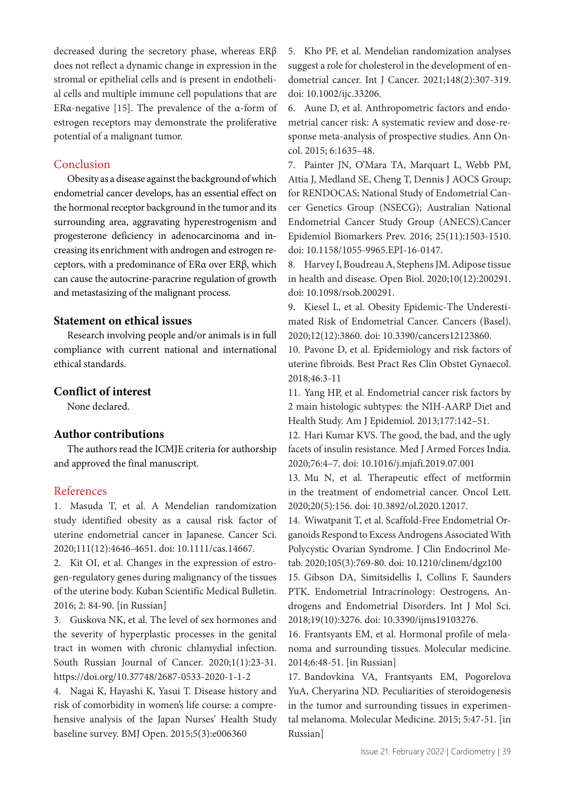decreased during the secretory phase, whereas ERβ does not reflect a dynamic change in expression in the stromal or epithelial cells and is present in endothelial cells and multiple immune cell populations that are ERα-negative [15]. The prevalence of the α-form of estrogen receptors may demonstrate the proliferative potential of a malignant tumor.

## Conclusion

Obesity as a disease against the background of which endometrial cancer develops, has an essential effect on the hormonal receptor background in the tumor and its surrounding area, aggravating hyperestrogenism and progesterone deficiency in adenocarcinoma and increasing its enrichment with androgen and estrogen receptors, with a predominance of ERα over ERβ, which can cause the autocrine-paracrine regulation of growth and metastasizing of the malignant process.

# **Statement on ethical issues**

Research involving people and/or animals is in full compliance with current national and international ethical standards.

# **Conflict of interest**

None declared.

## **Author contributions**

The authors read the ICMJE criteria for authorship and approved the final manuscript.

#### References

1. Masuda T, et al. A Mendelian randomization study identified obesity as a causal risk factor of uterine endometrial cancer in Japanese. Cancer Sci. 2020;111(12):4646-4651. doi: 10.1111/cas.14667.

2. Kit OI, et al. Changes in the expression of estrogen-regulatory genes during malignancy of the tissues of the uterine body. Kuban Scientific Medical Bulletin. 2016; 2: 84-90. [in Russian]

3. Guskova NK, et al. The level of sex hormones and the severity of hyperplastic processes in the genital tract in women with chronic chlamydial infection. South Russian Journal of Cancer. 2020;1(1):23-31. https://doi.org/10.37748/2687-0533-2020-1-1-2

4. Nagai K, Hayashi K, Yasui T. Disease history and risk of comorbidity in women's life course: a comprehensive analysis of the Japan Nurses' Health Study baseline survey. BMJ Open. 2015;5(3):e006360

5. Kho PF, et al. Mendelian randomization analyses suggest a role for cholesterol in the development of endometrial cancer. Int J Cancer. 2021;148(2):307-319. doi: 10.1002/ijc.33206.

6. Aune D, et al. Anthropometric factors and endometrial cancer risk: A systematic review and dose-response meta-analysis of prospective studies. Ann Oncol. 2015; 6:1635–48.

7. Painter JN, O'Mara TA, Marquart L, Webb PM, Attia J, Medland SE, Cheng T, Dennis J AOCS Group; for RENDOCAS; National Study of Endometrial Cancer Genetics Group (NSECG); Australian National Endometrial Cancer Study Group (ANECS).Cancer Epidemiol Biomarkers Prev. 2016; 25(11):1503-1510. doi: 10.1158/1055-9965.EPI-16-0147.

8. Harvey I, Boudreau A, Stephens JM. Adipose tissue in health and disease. Open Biol. 2020;10(12):200291. doi: 10.1098/rsob.200291.

9. Kiesel L, et al. Obesity Epidemic-The Underestimated Risk of Endometrial Cancer. Cancers (Basel). 2020;12(12):3860. doi: 10.3390/cancers12123860.

10. Pavone D, et al. Epidemiology and risk factors of uterine fibroids. Best Pract Res Clin Obstet Gynaecol. 2018;46:3‐11

11. Yang HP, et al. Endometrial cancer risk factors by 2 main histologic subtypes: the NIH-AARP Diet and Health Study. Am J Epidemiol. 2013;177:142–51.

12. Hari Kumar KVS. The good, the bad, and the ugly facets of insulin resistance. Med J Armed Forces India. 2020;76:4–7. doi: 10.1016/j.mjafi.2019.07.001

13. Mu N, et al. Therapeutic effect of metformin in the treatment of endometrial cancer. Oncol Lett. 2020;20(5):156. doi: 10.3892/ol.2020.12017.

14. Wiwatpanit T, et al. Scaffold-Free Endometrial Organoids Respond to Excess Androgens Associated With Polycystic Ovarian Syndrome. J Clin Endocrinol Metab. 2020;105(3):769-80. doi: 10.1210/clinem/dgz100

15. Gibson DA, Simitsidellis I, Collins F, Saunders PTK. Endometrial Intracrinology: Oestrogens, Androgens and Endometrial Disorders. Int J Mol Sci. 2018;19(10):3276. doi: 10.3390/ijms19103276.

16. Frantsyants EM, et al. Hormonal profile of melanoma and surrounding tissues. Molecular medicine. 2014;6:48-51. [in Russian]

17. Bandovkina VA, Frantsyants EM, Pogorelova YuA, Cheryarina ND. Peculiarities of steroidogenesis in the tumor and surrounding tissues in experimental melanoma. Molecular Medicine. 2015; 5:47-51. [in Russian]